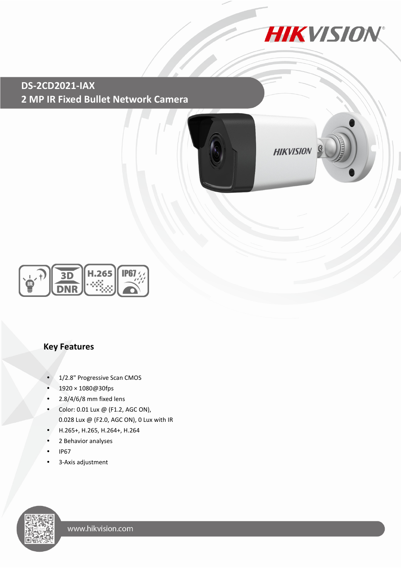

 **2 MP IR Fixed Bullet Network Camera DS-2CD2021-IAX**



**HIKVISION** 





## **Key Features**

- 1/2.8" Progressive Scan CMOS
- 1920 × 1080@30fps
- $\cdot$  2.8/4/6/8 mm fixed lens
- Color: 0.01 Lux @ (F1.2, AGC ON), 0.028 Lux @ (F2.0, AGC ON), 0 Lux with IR
- H.265+, H.265, H.264+, H.264
- 2 Behavior analyses
- IP67
- 3-Axis adjustment

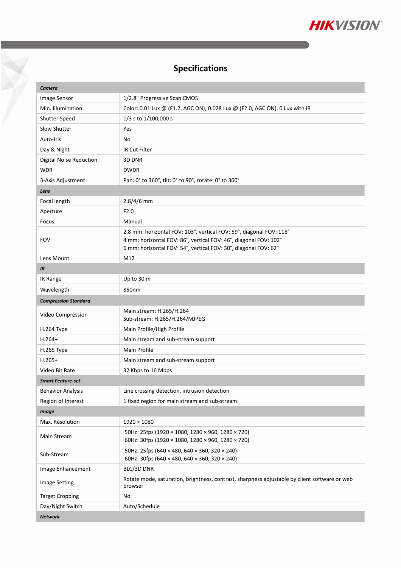

## **Specifications**

X

| Camera                         |                                                                                                                                     |  |
|--------------------------------|-------------------------------------------------------------------------------------------------------------------------------------|--|
| Image Sensor                   | 1/2.8" Progressive Scan CMOS                                                                                                        |  |
| Min. Illumination              | Color: 0.01 Lux @ (F1.2, AGC ON), 0.028 Lux @ (F2.0, AGC ON), 0 Lux with IR                                                         |  |
| <b>Shutter Speed</b>           | 1/3 s to 1/100,000 s                                                                                                                |  |
| Slow Shutter                   | Yes                                                                                                                                 |  |
| Auto-Iris                      | No                                                                                                                                  |  |
| Day & Night                    | <b>IR Cut Filter</b>                                                                                                                |  |
| <b>Digital Noise Reduction</b> | 3D DNR                                                                                                                              |  |
| <b>WDR</b>                     | <b>DWDR</b>                                                                                                                         |  |
| 3-Axis Adjustment              | Pan: 0° to 360°, tilt: 0° to 90°, rotate: 0° to 360°                                                                                |  |
| Lens                           |                                                                                                                                     |  |
| Focal length                   | $2.8/4/6$ mm                                                                                                                        |  |
| Aperture                       | F2.0                                                                                                                                |  |
| Focus                          | Manual                                                                                                                              |  |
| <b>FOV</b>                     | 2.8 mm: horizontal FOV: 103°, vertical FOV: 59°, diagonal FOV: 118°                                                                 |  |
|                                | 4 mm: horizontal FOV: 86°, vertical FOV: 46°, diagonal FOV: 102°<br>6 mm: horizontal FOV: 54°, vertical FOV: 30°, diagonal FOV: 62° |  |
| Lens Mount                     | M12                                                                                                                                 |  |
| IR                             |                                                                                                                                     |  |
| IR Range                       | Up to 30 m                                                                                                                          |  |
| Wavelength                     | 850nm                                                                                                                               |  |
| <b>Compression Standard</b>    |                                                                                                                                     |  |
|                                | Main stream: H.265/H.264                                                                                                            |  |
| Video Compression              | Sub-stream: H.265/H.264/MJPEG                                                                                                       |  |
| H.264 Type                     | Main Profile/High Profile                                                                                                           |  |
| $H.264+$                       | Main stream and sub-stream support                                                                                                  |  |
| H.265 Type                     | Main Profile                                                                                                                        |  |
| $H.265+$                       | Main stream and sub-stream support                                                                                                  |  |
| Video Bit Rate                 | 32 Kbps to 16 Mbps                                                                                                                  |  |
| <b>Smart Feature-set</b>       |                                                                                                                                     |  |
| <b>Behavior Analysis</b>       | Line crossing detection, intrusion detection                                                                                        |  |
| Region of Interest             | 1 fixed region for main stream and sub-stream                                                                                       |  |
| <b>Image</b>                   |                                                                                                                                     |  |
| Max. Resolution                | $1920 \times 1080$                                                                                                                  |  |
| Main Stream                    | 50Hz: 25fps (1920 × 1080, 1280 × 960, 1280 × 720)<br>60Hz: 30fps (1920 × 1080, 1280 × 960, 1280 × 720)                              |  |
| Sub-Stream                     | 50Hz: 25fps (640 × 480, 640 × 360, 320 × 240)<br>60Hz: 30fps (640 × 480, 640 × 360, 320 × 240)                                      |  |
| Image Enhancement              | BLC/3D DNR                                                                                                                          |  |
| <b>Image Setting</b>           | Rotate mode, saturation, brightness, contrast, sharpness adjustable by client software or web<br>browser                            |  |
| <b>Target Cropping</b>         | No                                                                                                                                  |  |
| Day/Night Switch               | Auto/Schedule                                                                                                                       |  |
| <b>Network</b>                 |                                                                                                                                     |  |